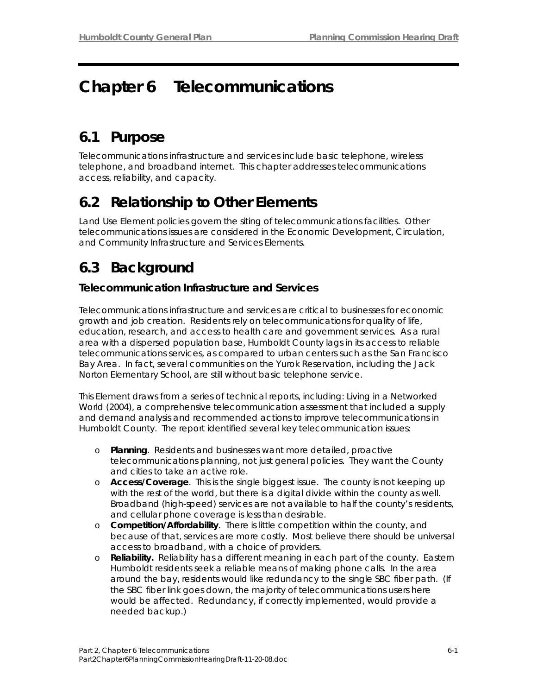# **Chapter 6 Telecommunications**

# **6.1 Purpose**

Telecommunications infrastructure and services include basic telephone, wireless telephone, and broadband internet. This chapter addresses telecommunications access, reliability, and capacity.

# **6.2 Relationship to Other Elements**

Land Use Element policies govern the siting of telecommunications facilities. Other telecommunications issues are considered in the Economic Development, Circulation, and Community Infrastructure and Services Elements.

# **6.3 Background**

### **Telecommunication Infrastructure and Services**

Telecommunications infrastructure and services are critical to businesses for economic growth and job creation. Residents rely on telecommunications for quality of life, education, research, and access to health care and government services. As a rural area with a dispersed population base, Humboldt County lags in its access to reliable telecommunications services, as compared to urban centers such as the San Francisco Bay Area. In fact, several communities on the Yurok Reservation, including the Jack Norton Elementary School, are still without basic telephone service.

This Element draws from a series of technical reports, including: *Living in a Networked World* (2004), a comprehensive telecommunication assessment that included a supply and demand analysis and recommended actions to improve telecommunications in Humboldt County. The report identified several key telecommunication issues:

- o **Planning**. Residents and businesses want more detailed, proactive telecommunications planning, not just general policies. They want the County and cities to take an active role.
- o **Access/Coverage**. This is the single biggest issue. The county is not keeping up with the rest of the world, but there is a digital divide within the county as well. Broadband (high-speed) services are not available to half the county's residents, and cellular phone coverage is less than desirable.
- o **Competition/Affordability**. There is little competition within the county, and because of that, services are more costly. Most believe there should be universal access to broadband, with a choice of providers.
- **Reliability.** Reliability has a different meaning in each part of the county. Eastern Humboldt residents seek a reliable means of making phone calls. In the area around the bay, residents would like redundancy to the single SBC fiber path. (If the SBC fiber link goes down, the majority of telecommunications users here would be affected. Redundancy, if correctly implemented, would provide a needed backup.)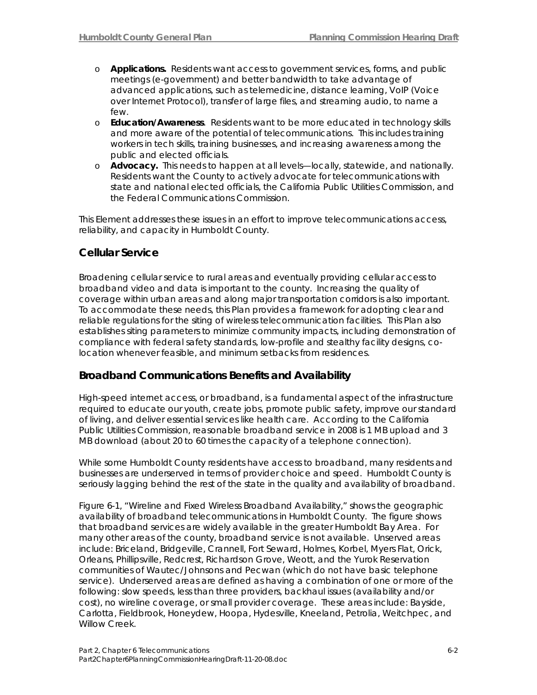- o **Applications.** Residents want access to government services, forms, and public meetings (e-government) and better bandwidth to take advantage of advanced applications, such as telemedicine, distance learning, VoIP (Voice over Internet Protocol), transfer of large files, and streaming audio, to name a few.
- o **Education/Awareness**. Residents want to be more educated in technology skills and more aware of the potential of telecommunications. This includes training workers in tech skills, training businesses, and increasing awareness among the public and elected officials.
- o **Advocacy.** This needs to happen at all levels—locally, statewide, and nationally. Residents want the County to actively advocate for telecommunications with state and national elected officials, the California Public Utilities Commission, and the Federal Communications Commission.

This Element addresses these issues in an effort to improve telecommunications access, reliability, and capacity in Humboldt County.

### **Cellular Service**

Broadening cellular service to rural areas and eventually providing cellular access to broadband video and data is important to the county. Increasing the quality of coverage within urban areas and along major transportation corridors is also important. To accommodate these needs, this Plan provides a framework for adopting clear and reliable regulations for the siting of wireless telecommunication facilities. This Plan also establishes siting parameters to minimize community impacts, including demonstration of compliance with federal safety standards, low-profile and stealthy facility designs, colocation whenever feasible, and minimum setbacks from residences.

### **Broadband Communications Benefits and Availability**

High-speed internet access, or broadband, is a fundamental aspect of the infrastructure required to educate our youth, create jobs, promote public safety, improve our standard of living, and deliver essential services like health care. According to the California Public Utilities Commission, reasonable broadband service in 2008 is 1 MB upload and 3 MB download (about 20 to 60 times the capacity of a telephone connection).

While some Humboldt County residents have access to broadband, many residents and businesses are underserved in terms of provider choice and speed. Humboldt County is seriously lagging behind the rest of the state in the quality and availability of broadband.

Figure 6-1, "Wireline and Fixed Wireless Broadband Availability," shows the geographic availability of broadband telecommunications in Humboldt County. The figure shows that broadband services are widely available in the greater Humboldt Bay Area. For many other areas of the county, broadband service is not available. Unserved areas include: Briceland, Bridgeville, Crannell, Fort Seward, Holmes, Korbel, Myers Flat, Orick, Orleans, Phillipsville, Redcrest, Richardson Grove, Weott, and the Yurok Reservation communities of Wautec/Johnsons and Pecwan (which do not have basic telephone service). Underserved areas are defined as having a combination of one or more of the following: slow speeds, less than three providers, backhaul issues (availability and/or cost), no wireline coverage, or small provider coverage. These areas include: Bayside, Carlotta, Fieldbrook, Honeydew, Hoopa, Hydesville, Kneeland, Petrolia, Weitchpec, and Willow Creek.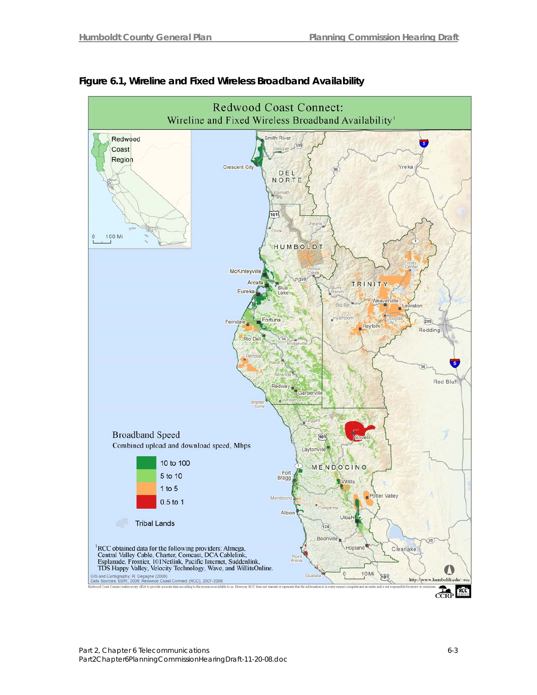

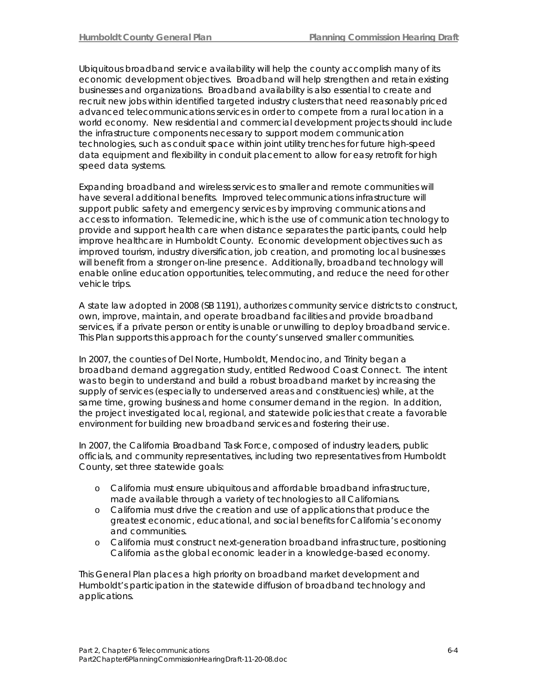Ubiquitous broadband service availability will help the county accomplish many of its economic development objectives. Broadband will help strengthen and retain existing businesses and organizations. Broadband availability is also essential to create and recruit new jobs within identified targeted industry clusters that need reasonably priced advanced telecommunications services in order to compete from a rural location in a world economy. New residential and commercial development projects should include the infrastructure components necessary to support modern communication technologies, such as conduit space within joint utility trenches for future high-speed data equipment and flexibility in conduit placement to allow for easy retrofit for high speed data systems.

Expanding broadband and wireless services to smaller and remote communities will have several additional benefits. Improved telecommunications infrastructure will support public safety and emergency services by improving communications and access to information. Telemedicine, which is the use of communication technology to provide and support health care when distance separates the participants, could help improve healthcare in Humboldt County. Economic development objectives such as improved tourism, industry diversification, job creation, and promoting local businesses will benefit from a stronger on-line presence. Additionally, broadband technology will enable online education opportunities, telecommuting, and reduce the need for other vehicle trips.

A state law adopted in 2008 (SB 1191), authorizes community service districts to construct, own, improve, maintain, and operate broadband facilities and provide broadband services, if a private person or entity is unable or unwilling to deploy broadband service. This Plan supports this approach for the county's unserved smaller communities.

In 2007, the counties of Del Norte, Humboldt, Mendocino, and Trinity began a broadband demand aggregation study, entitled *Redwood Coast Connect*. The intent was to begin to understand and build a robust broadband market by increasing the supply of services (especially to underserved areas and constituencies) while, at the same time, growing business and home consumer demand in the region. In addition, the project investigated local, regional, and statewide policies that create a favorable environment for building new broadband services and fostering their use.

In 2007, the California Broadband Task Force, composed of industry leaders, public officials, and community representatives, including two representatives from Humboldt County, set three statewide goals:

- o California must ensure ubiquitous and affordable broadband infrastructure, made available through a variety of technologies to all Californians.
- o California must drive the creation and use of applications that produce the greatest economic, educational, and social benefits for California's economy and communities.
- o California must construct next-generation broadband infrastructure, positioning California as the global economic leader in a knowledge-based economy.

This General Plan places a high priority on broadband market development and Humboldt's participation in the statewide diffusion of broadband technology and applications.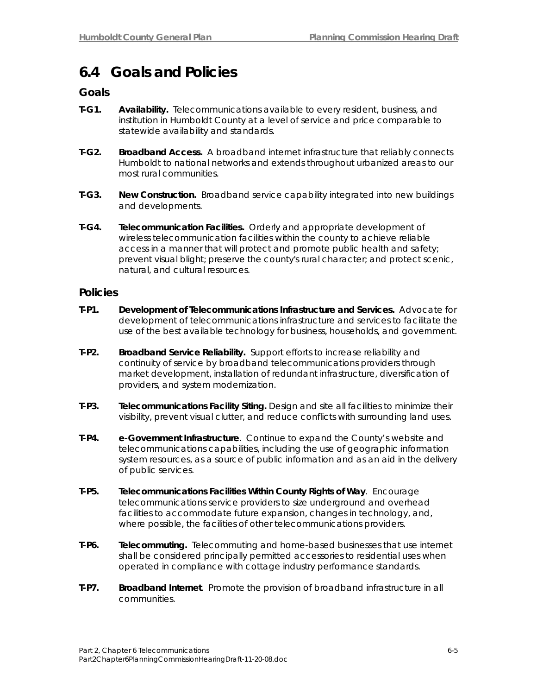### **6.4 Goals and Policies**

### **Goals**

- **T-G1. Availability.** Telecommunications available to every resident, business, and institution in Humboldt County at a level of service and price comparable to statewide availability and standards.
- **T-G2. Broadband Access.** A broadband internet infrastructure that reliably connects Humboldt to national networks and extends throughout urbanized areas to our most rural communities.
- **T-G3. New Construction.** Broadband service capability integrated into new buildings and developments.
- **T-G4. Telecommunication Facilities.** Orderly and appropriate development of wireless telecommunication facilities within the county to achieve reliable access in a manner that will protect and promote public health and safety; prevent visual blight; preserve the county's rural character; and protect scenic, natural, and cultural resources.

### **Policies**

- **T-P1. Development of Telecommunications Infrastructure and Services.** Advocate for development of telecommunications infrastructure and services to facilitate the use of the best available technology for business, households, and government.
- **T-P2. Broadband Service Reliability.** Support efforts to increase reliability and continuity of service by broadband telecommunications providers through market development, installation of redundant infrastructure, diversification of providers, and system modernization.
- **T-P3. Telecommunications Facility Siting.** Design and site all facilities to minimize their visibility, prevent visual clutter, and reduce conflicts with surrounding land uses.
- **T-P4. e-Government Infrastructure**. Continue to expand the County's website and telecommunications capabilities, including the use of geographic information system resources, as a source of public information and as an aid in the delivery of public services.
- **T-P5. Telecommunications Facilities Within County Rights of Way**. Encourage telecommunications service providers to size underground and overhead facilities to accommodate future expansion, changes in technology, and, where possible, the facilities of other telecommunications providers.
- **T-P6. Telecommuting.** Telecommuting and home-based businesses that use internet shall be considered principally permitted accessories to residential uses when operated in compliance with cottage industry performance standards.
- **T-P7. Broadband Internet**. Promote the provision of broadband infrastructure in all communities.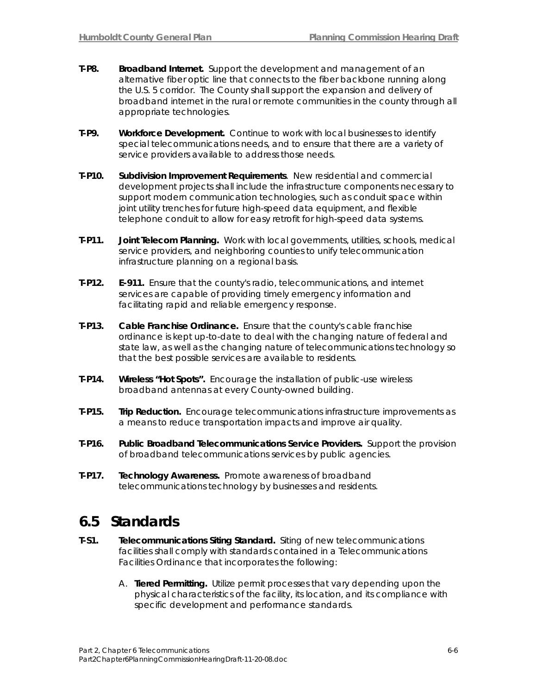- **T-P8. Broadband Internet.** Support the development and management of an alternative fiber optic line that connects to the fiber backbone running along the U.S. 5 corridor. The County shall support the expansion and delivery of broadband internet in the rural or remote communities in the county through all appropriate technologies.
- **T-P9. Workforce Development.** Continue to work with local businesses to identify special telecommunications needs, and to ensure that there are a variety of service providers available to address those needs.
- **T-P10. Subdivision Improvement Requirements**. New residential and commercial development projects shall include the infrastructure components necessary to support modern communication technologies, such as conduit space within joint utility trenches for future high-speed data equipment, and flexible telephone conduit to allow for easy retrofit for high-speed data systems.
- **T-P11. Joint Telecom Planning.** Work with local governments, utilities, schools, medical service providers, and neighboring counties to unify telecommunication infrastructure planning on a regional basis.
- **T-P12. E-911.** Ensure that the county's radio, telecommunications, and internet services are capable of providing timely emergency information and facilitating rapid and reliable emergency response.
- **T-P13. Cable Franchise Ordinance.** Ensure that the county's cable franchise ordinance is kept up-to-date to deal with the changing nature of federal and state law, as well as the changing nature of telecommunications technology so that the best possible services are available to residents.
- **T-P14. Wireless "Hot Spots".** Encourage the installation of public-use wireless broadband antennas at every County-owned building.
- **T-P15. Trip Reduction.** Encourage telecommunications infrastructure improvements as a means to reduce transportation impacts and improve air quality.
- **T-P16. Public Broadband Telecommunications Service Providers.** Support the provision of broadband telecommunications services by public agencies.
- **T-P17. Technology Awareness.** Promote awareness of broadband telecommunications technology by businesses and residents.

### **6.5 Standards**

- **T-S1. Telecommunications Siting Standard.** Siting of new telecommunications facilities shall comply with standards contained in a Telecommunications Facilities Ordinance that incorporates the following:
	- A. **Tiered Permitting.** Utilize permit processes that vary depending upon the physical characteristics of the facility, its location, and its compliance with specific development and performance standards.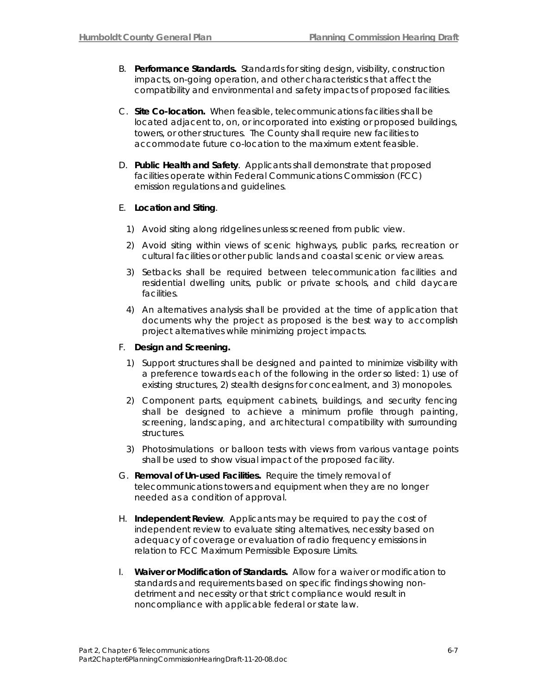- B. **Performance Standards.** Standards for siting design, visibility, construction impacts, on-going operation, and other characteristics that affect the compatibility and environmental and safety impacts of proposed facilities.
- C. **Site Co-location.** When feasible, telecommunications facilities shall be located adjacent to, on, or incorporated into existing or proposed buildings, towers, or other structures. The County shall require new facilities to accommodate future co-location to the maximum extent feasible.
- D. **Public Health and Safety**. Applicants shall demonstrate that proposed facilities operate within Federal Communications Commission (FCC) emission regulations and guidelines.

#### E. **Location and Siting**.

- 1) Avoid siting along ridgelines unless screened from public view.
- 2) Avoid siting within views of scenic highways, public parks, recreation or cultural facilities or other public lands and coastal scenic or view areas.
- 3) Setbacks shall be required between telecommunication facilities and residential dwelling units, public or private schools, and child daycare facilities.
- 4) An alternatives analysis shall be provided at the time of application that documents why the project as proposed is the best way to accomplish project alternatives while minimizing project impacts.

#### F. **Design and Screening.**

- 1) Support structures shall be designed and painted to minimize visibility with a preference towards each of the following in the order so listed: 1) use of existing structures, 2) stealth designs for concealment, and 3) monopoles.
- 2) Component parts, equipment cabinets, buildings, and security fencing shall be designed to achieve a minimum profile through painting, screening, landscaping, and architectural compatibility with surrounding structures.
- 3) Photosimulations or balloon tests with views from various vantage points shall be used to show visual impact of the proposed facility.
- G. **Removal of Un-used Facilities.** Require the timely removal of telecommunications towers and equipment when they are no longer needed as a condition of approval.
- H. **Independent Review**. Applicants may be required to pay the cost of independent review to evaluate siting alternatives, necessity based on adequacy of coverage or evaluation of radio frequency emissions in relation to FCC Maximum Permissible Exposure Limits.
- I. **Waiver or Modification of Standards.** Allow for a waiver or modification to standards and requirements based on specific findings showing nondetriment and necessity or that strict compliance would result in noncompliance with applicable federal or state law.